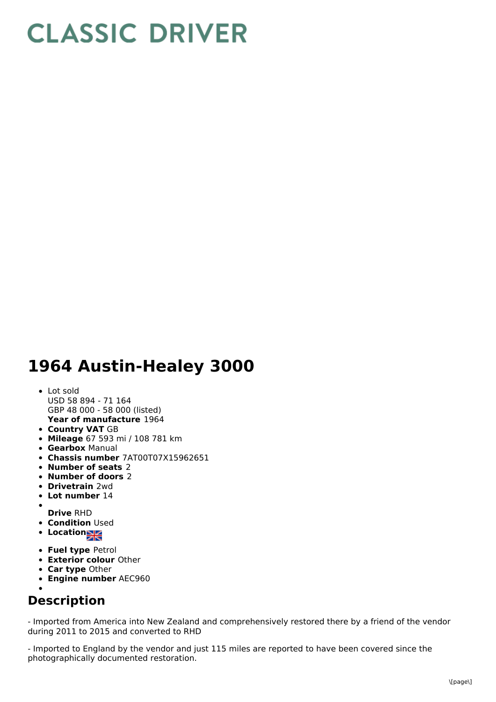## **CLASSIC DRIVER**

## **1964 Austin-Healey 3000**

## **Year of manufacture** 1964 Lot sold USD 58 894 - 71 164 GBP 48 000 - 58 000 (listed)

- **Country VAT** GB
- **Mileage** 67 593 mi / 108 781 km
- **Gearbox** Manual
- **Chassis number** 7AT00T07X15962651
- **Number of seats** 2
- **Number of doors** 2
- **Drivetrain** 2wd
- **Lot number** 14
- 
- **Drive** RHD **• Condition Used**
- Location<sub>a</sub>
- **Fuel type** Petrol
- **Exterior colour** Other
- **Car type** Other
- **Engine number** AEC960

## **Description**

- Imported from America into New Zealand and comprehensively restored there by a friend of the vendor during 2011 to 2015 and converted to RHD

- Imported to England by the vendor and just 115 miles are reported to have been covered since the photographically documented restoration.